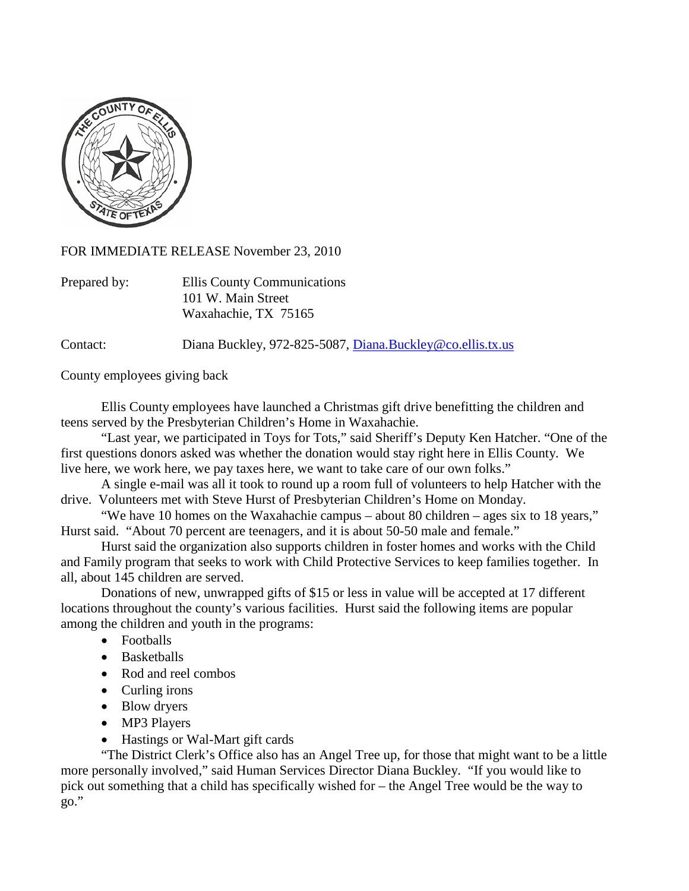

FOR IMMEDIATE RELEASE November 23, 2010

| Prepared by: | Ellis County Communications |
|--------------|-----------------------------|
|              | 101 W. Main Street          |
|              | Waxahachie, TX 75165        |

Contact: Diana Buckley, 972-825-5087, [Diana.Buckley@co.ellis.tx.us](mailto:Diana.Buckley@co.ellis.tx.us)

County employees giving back

Ellis County employees have launched a Christmas gift drive benefitting the children and teens served by the Presbyterian Children's Home in Waxahachie.

"Last year, we participated in Toys for Tots," said Sheriff's Deputy Ken Hatcher. "One of the first questions donors asked was whether the donation would stay right here in Ellis County. We live here, we work here, we pay taxes here, we want to take care of our own folks."

A single e-mail was all it took to round up a room full of volunteers to help Hatcher with the drive. Volunteers met with Steve Hurst of Presbyterian Children's Home on Monday.

"We have 10 homes on the Waxahachie campus – about 80 children – ages six to 18 years," Hurst said. "About 70 percent are teenagers, and it is about 50-50 male and female."

Hurst said the organization also supports children in foster homes and works with the Child and Family program that seeks to work with Child Protective Services to keep families together. In all, about 145 children are served.

Donations of new, unwrapped gifts of \$15 or less in value will be accepted at 17 different locations throughout the county's various facilities. Hurst said the following items are popular among the children and youth in the programs:

- Footballs
- Basketballs
- Rod and reel combos
- Curling irons
- Blow dryers
- MP3 Players
- Hastings or Wal-Mart gift cards

"The District Clerk's Office also has an Angel Tree up, for those that might want to be a little more personally involved," said Human Services Director Diana Buckley. "If you would like to pick out something that a child has specifically wished for – the Angel Tree would be the way to go."